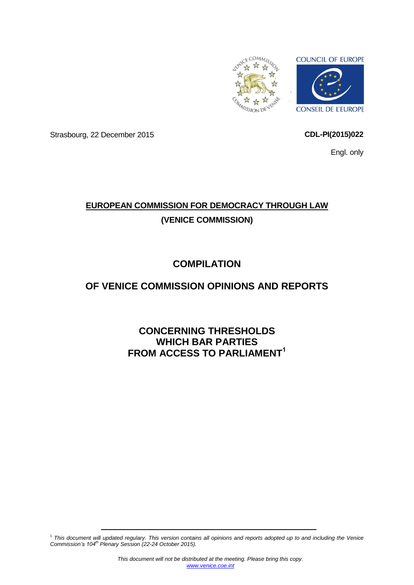

Strasbourg, 22 December 2015 **CDL-PI(2015)022**

Engl. only

# **EUROPEAN COMMISSION FOR DEMOCRACY THROUGH LAW (VENICE COMMISSION)**

# **COMPILATION**

# **OF VENICE COMMISSION OPINIONS AND REPORTS**

**CONCERNING THRESHOLDS WHICH BAR PARTIES FROM ACCESS TO PARLIAMENT<sup>1</sup>**

<sup>1</sup> *This document will updated regulary. This version contains all opinions and reports adopted up to and including the Venice Commission's 104th Plenary Session (22-24 October 2015).*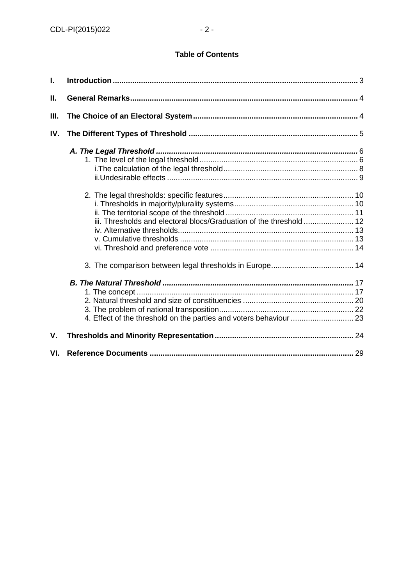## **Table of Contents**

| L.  |                                                                     |
|-----|---------------------------------------------------------------------|
| П.  |                                                                     |
| Ш.  |                                                                     |
| IV. |                                                                     |
|     |                                                                     |
|     | iii. Thresholds and electoral blocs/Graduation of the threshold  12 |
|     |                                                                     |
|     |                                                                     |
| V.  |                                                                     |
| VI. |                                                                     |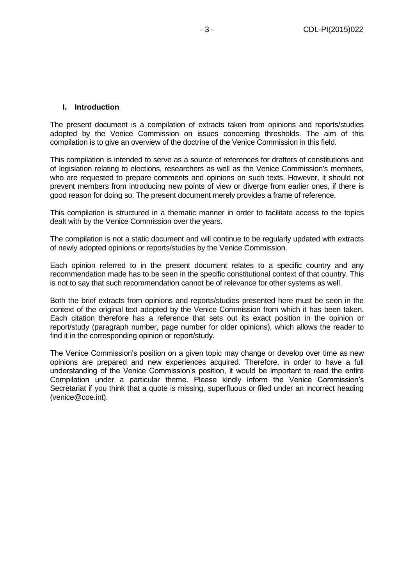#### <span id="page-2-0"></span>**I. Introduction**

The present document is a compilation of extracts taken from opinions and reports/studies adopted by the Venice Commission on issues concerning thresholds. The aim of this compilation is to give an overview of the doctrine of the Venice Commission in this field.

This compilation is intended to serve as a source of references for drafters of constitutions and of legislation relating to elections, researchers as well as the Venice Commission's members, who are requested to prepare comments and opinions on such texts. However, it should not prevent members from introducing new points of view or diverge from earlier ones, if there is good reason for doing so. The present document merely provides a frame of reference.

This compilation is structured in a thematic manner in order to facilitate access to the topics dealt with by the Venice Commission over the years.

The compilation is not a static document and will continue to be regularly updated with extracts of newly adopted opinions or reports/studies by the Venice Commission.

Each opinion referred to in the present document relates to a specific country and any recommendation made has to be seen in the specific constitutional context of that country. This is not to say that such recommendation cannot be of relevance for other systems as well.

Both the brief extracts from opinions and reports/studies presented here must be seen in the context of the original text adopted by the Venice Commission from which it has been taken. Each citation therefore has a reference that sets out its exact position in the opinion or report/study (paragraph number, page number for older opinions), which allows the reader to find it in the corresponding opinion or report/study.

The Venice Commission's position on a given topic may change or develop over time as new opinions are prepared and new experiences acquired. Therefore, in order to have a full understanding of the Venice Commission's position, it would be important to read the entire Compilation under a particular theme. Please kindly inform the Venice Commission's Secretariat if you think that a quote is missing, superfluous or filed under an incorrect heading (venice@coe.int).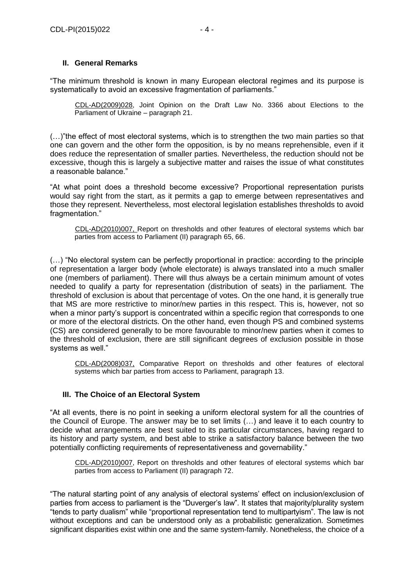## <span id="page-3-0"></span>**II. General Remarks**

"The minimum threshold is known in many European electoral regimes and its purpose is systematically to avoid an excessive fragmentation of parliaments."

CDL-AD(2009)028, Joint Opinion on the Draft Law No. 3366 about Elections to the Parliament of Ukraine – paragraph 21.

(…)"the effect of most electoral systems, which is to strengthen the two main parties so that one can govern and the other form the opposition, is by no means reprehensible, even if it does reduce the representation of smaller parties. Nevertheless, the reduction should not be excessive, though this is largely a subjective matter and raises the issue of what constitutes a reasonable balance."

"At what point does a threshold become excessive? Proportional representation purists would say right from the start, as it permits a gap to emerge between representatives and those they represent. Nevertheless, most electoral legislation establishes thresholds to avoid fragmentation."

CDL-AD(2010)007, Report on thresholds and other features of electoral systems which bar parties from access to Parliament (II) paragraph 65, 66.

(…) "No electoral system can be perfectly proportional in practice: according to the principle of representation a larger body (whole electorate) is always translated into a much smaller one (members of parliament). There will thus always be a certain minimum amount of votes needed to qualify a party for representation (distribution of seats) in the parliament. The threshold of exclusion is about that percentage of votes. On the one hand, it is generally true that MS are more restrictive to minor/new parties in this respect. This is, however, not so when a minor party's support is concentrated within a specific region that corresponds to one or more of the electoral districts. On the other hand, even though PS and combined systems (CS) are considered generally to be more favourable to minor/new parties when it comes to the threshold of exclusion, there are still significant degrees of exclusion possible in those systems as well."

CDL-AD(2008)037, Comparative Report on thresholds and other features of electoral systems which bar parties from access to Parliament, paragraph 13.

## <span id="page-3-1"></span>**III. The Choice of an Electoral System**

"At all events, there is no point in seeking a uniform electoral system for all the countries of the Council of Europe. The answer may be to set limits (…) and leave it to each country to decide what arrangements are best suited to its particular circumstances, having regard to its history and party system, and best able to strike a satisfactory balance between the two potentially conflicting requirements of representativeness and governability."

CDL-AD(2010)007, Report on thresholds and other features of electoral systems which bar parties from access to Parliament (II) paragraph 72.

"The natural starting point of any analysis of electoral systems' effect on inclusion/exclusion of parties from access to parliament is the "Duverger's law". It states that majority/plurality system "tends to party dualism" while "proportional representation tend to multipartyism". The law is not without exceptions and can be understood only as a probabilistic generalization. Sometimes significant disparities exist within one and the same system-family. Nonetheless, the choice of a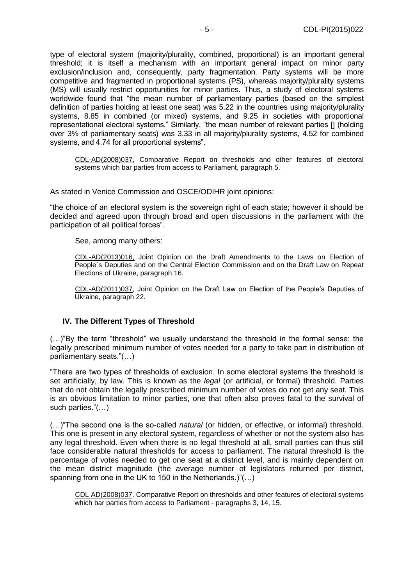type of electoral system (majority/plurality, combined, proportional) is an important general threshold; it is itself a mechanism with an important general impact on minor party exclusion/inclusion and, consequently, party fragmentation. Party systems will be more competitive and fragmented in proportional systems (PS), whereas majority/plurality systems (MS) will usually restrict opportunities for minor parties. Thus, a study of electoral systems worldwide found that "the mean number of parliamentary parties (based on the simplest definition of parties holding at least one seat) was 5.22 in the countries using majority/plurality systems, 8.85 in combined (or mixed) systems, and 9.25 in societies with proportional representational electoral systems." Similarly, "the mean number of relevant parties [] (holding over 3% of parliamentary seats) was 3.33 in all majority/plurality systems, 4.52 for combined systems, and 4.74 for all proportional systems".

CDL-AD(2008)037, Comparative Report on thresholds and other features of electoral systems which bar parties from access to Parliament, paragraph 5.

As stated in Venice Commission and OSCE/ODIHR joint opinions:

"the choice of an electoral system is the sovereign right of each state; however it should be decided and agreed upon through broad and open discussions in the parliament with the participation of all political forces".

See, among many others:

CDL-AD(2013)016, Joint Opinion on the Draft Amendments to the Laws on Election of People´s Deputies and on the Central Election Commission and on the Draft Law on Repeat Elections of Ukraine, paragraph 16.

CDL-AD(2011)037, Joint Opinion on the Draft Law on Election of the People's Deputies of Ukraine, paragraph 22.

#### <span id="page-4-0"></span>**IV. The Different Types of Threshold**

(…)"By the term "threshold" we usually understand the threshold in the formal sense: the legally prescribed minimum number of votes needed for a party to take part in distribution of parliamentary seats."(…)

"There are two types of thresholds of exclusion. In some electoral systems the threshold is set artificially, by law. This is known as the *legal* (or artificial, or formal) threshold. Parties that do not obtain the legally prescribed minimum number of votes do not get any seat. This is an obvious limitation to minor parties, one that often also proves fatal to the survival of such parties."(…)

(…)"The second one is the so-called *natural* (or hidden, or effective, or informal) threshold. This one is present in any electoral system, regardless of whether or not the system also has any legal threshold. Even when there is no legal threshold at all, small parties can thus still face considerable natural thresholds for access to parliament. The natural threshold is the percentage of votes needed to get one seat at a district level, and is mainly dependent on the mean district magnitude (the average number of legislators returned per district, spanning from one in the UK to 150 in the Netherlands.)"(…)

CDL AD(2008)037, Comparative Report on thresholds and other features of electoral systems which bar parties from access to Parliament - paragraphs 3, 14, 15.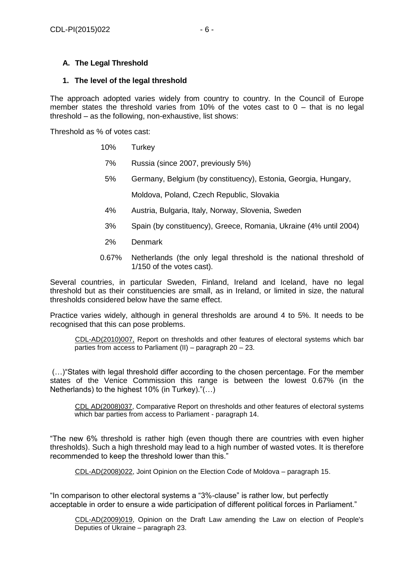## <span id="page-5-0"></span>**A. The Legal Threshold**

#### <span id="page-5-1"></span>**1. The level of the legal threshold**

The approach adopted varies widely from country to country. In the Council of Europe member states the threshold varies from 10% of the votes cast to  $0 -$  that is no legal threshold – as the following, non-exhaustive, list shows:

Threshold as % of votes cast:

- 10% Turkey
- 7% Russia (since 2007, previously 5%)
- 5% Germany, Belgium (by constituency), Estonia, Georgia, Hungary,
	- Moldova, Poland, Czech Republic, Slovakia
- 4% Austria, Bulgaria, Italy, Norway, Slovenia, Sweden
- 3% Spain (by constituency), Greece, Romania, Ukraine (4% until 2004)
- 2% Denmark
- 0.67% Netherlands (the only legal threshold is the national threshold of 1/150 of the votes cast).

Several countries, in particular Sweden, Finland, Ireland and Iceland, have no legal threshold but as their constituencies are small, as in Ireland, or limited in size, the natural thresholds considered below have the same effect.

Practice varies widely, although in general thresholds are around 4 to 5%. It needs to be recognised that this can pose problems.

CDL-AD(2010)007, Report on thresholds and other features of electoral systems which bar parties from access to Parliament (II) – paragraph 20 – 23.

(…)"States with legal threshold differ according to the chosen percentage. For the member states of the Venice Commission this range is between the lowest 0.67% (in the Netherlands) to the highest 10% (in Turkey)."(…)

CDL AD(2008)037, Comparative Report on thresholds and other features of electoral systems which bar parties from access to Parliament - paragraph 14.

"The new 6% threshold is rather high (even though there are countries with even higher thresholds). Such a high threshold may lead to a high number of wasted votes. It is therefore recommended to keep the threshold lower than this."

CDL-AD(2008)022, Joint Opinion on the Election Code of Moldova – paragraph 15.

"In comparison to other electoral systems a "3%-clause" is rather low, but perfectly acceptable in order to ensure a wide participation of different political forces in Parliament."

CDL-AD(2009)019, Opinion on the Draft Law amending the Law on election of People's Deputies of Ukraine – paragraph 23.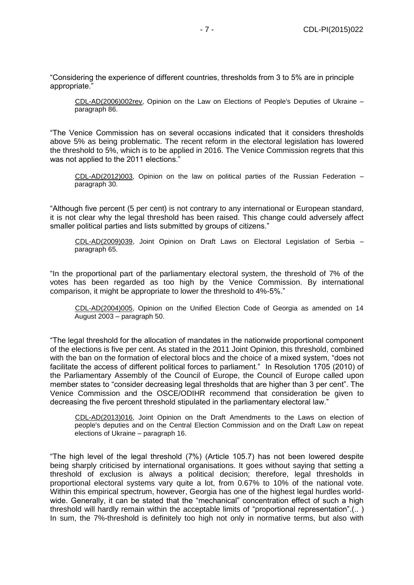"Considering the experience of different countries, thresholds from 3 to 5% are in principle appropriate."

CDL-AD(2006)002rev, Opinion on the Law on Elections of People's Deputies of Ukraine – paragraph 86.

"The Venice Commission has on several occasions indicated that it considers thresholds above 5% as being problematic. The recent reform in the electoral legislation has lowered the threshold to 5%, which is to be applied in 2016. The Venice Commission regrets that this was not applied to the 2011 elections."

CDL-AD(2012)003, Opinion on the law on political parties of the Russian Federation – paragraph 30.

"Although five percent (5 per cent) is not contrary to any international or European standard, it is not clear why the legal threshold has been raised. This change could adversely affect smaller political parties and lists submitted by groups of citizens."

CDL-AD(2009)039, Joint Opinion on Draft Laws on Electoral Legislation of Serbia – paragraph 65.

"In the proportional part of the parliamentary electoral system, the threshold of 7% of the votes has been regarded as too high by the Venice Commission. By international comparison, it might be appropriate to lower the threshold to 4%-5%."

CDL-AD(2004)005, Opinion on the Unified Election Code of Georgia as amended on 14 August 2003 – paragraph 50.

"The legal threshold for the allocation of mandates in the nationwide proportional component of the elections is five per cent. As stated in the 2011 Joint Opinion, this threshold, combined with the ban on the formation of electoral blocs and the choice of a mixed system, "does not facilitate the access of different political forces to parliament." In Resolution 1705 (2010) of the Parliamentary Assembly of the Council of Europe, the Council of Europe called upon member states to "consider decreasing legal thresholds that are higher than 3 per cent". The Venice Commission and the OSCE/ODIHR recommend that consideration be given to decreasing the five percent threshold stipulated in the parliamentary electoral law."

CDL-AD(2013)016, Joint Opinion on the Draft Amendments to the Laws on election of people's deputies and on the Central Election Commission and on the Draft Law on repeat elections of Ukraine – paragraph 16.

"The high level of the legal threshold (7%) (Article 105.7) has not been lowered despite being sharply criticised by international organisations. It goes without saying that setting a threshold of exclusion is always a political decision; therefore, legal thresholds in proportional electoral systems vary quite a lot, from 0.67% to 10% of the national vote. Within this empirical spectrum, however, Georgia has one of the highest legal hurdles worldwide. Generally, it can be stated that the "mechanical" concentration effect of such a high threshold will hardly remain within the acceptable limits of "proportional representation".(.. ) In sum, the 7%-threshold is definitely too high not only in normative terms, but also with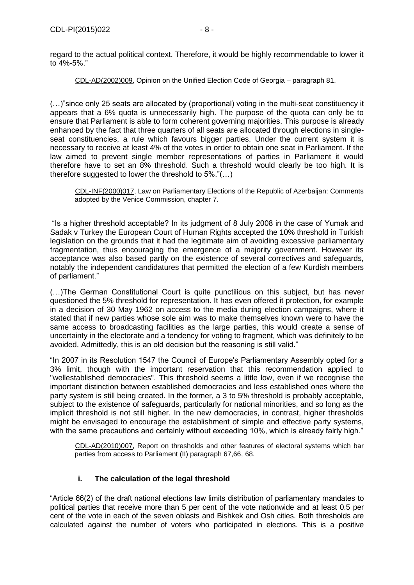regard to the actual political context. Therefore, it would be highly recommendable to lower it to 4%-5%."

CDL-AD(2002)009, Opinion on the Unified Election Code of Georgia – paragraph 81.

(…)"since only 25 seats are allocated by (proportional) voting in the multi-seat constituency it appears that a 6% quota is unnecessarily high. The purpose of the quota can only be to ensure that Parliament is able to form coherent governing majorities. This purpose is already enhanced by the fact that three quarters of all seats are allocated through elections in singleseat constituencies, a rule which favours bigger parties. Under the current system it is necessary to receive at least 4% of the votes in order to obtain one seat in Parliament. If the law aimed to prevent single member representations of parties in Parliament it would therefore have to set an 8% threshold. Such a threshold would clearly be too high. It is therefore suggested to lower the threshold to 5%."(…)

CDL-INF(2000)017, Law on Parliamentary Elections of the Republic of Azerbaijan: Comments adopted by the Venice Commission, chapter 7.

"Is a higher threshold acceptable? In its judgment of 8 July 2008 in the case of Yumak and Sadak v Turkey the European Court of Human Rights accepted the 10% threshold in Turkish legislation on the grounds that it had the legitimate aim of avoiding excessive parliamentary fragmentation, thus encouraging the emergence of a majority government. However its acceptance was also based partly on the existence of several correctives and safeguards, notably the independent candidatures that permitted the election of a few Kurdish members of parliament."

(…)The German Constitutional Court is quite punctilious on this subject, but has never questioned the 5% threshold for representation. It has even offered it protection, for example in a decision of 30 May 1962 on access to the media during election campaigns, where it stated that if new parties whose sole aim was to make themselves known were to have the same access to broadcasting facilities as the large parties, this would create a sense of uncertainty in the electorate and a tendency for voting to fragment, which was definitely to be avoided. Admittedly, this is an old decision but the reasoning is still valid."

"In 2007 in its Resolution 1547 the Council of Europe's Parliamentary Assembly opted for a 3% limit, though with the important reservation that this recommendation applied to "wellestablished democracies". This threshold seems a little low, even if we recognise the important distinction between established democracies and less established ones where the party system is still being created. In the former, a 3 to 5% threshold is probably acceptable, subject to the existence of safeguards, particularly for national minorities, and so long as the implicit threshold is not still higher. In the new democracies, in contrast, higher thresholds might be envisaged to encourage the establishment of simple and effective party systems, with the same precautions and certainly without exceeding 10%, which is already fairly high."

CDL-AD(2010)007, Report on thresholds and other features of electoral systems which bar parties from access to Parliament (II) paragraph 67,66, 68.

# **i. The calculation of the legal threshold**

<span id="page-7-0"></span>"Article 66(2) of the draft national elections law limits distribution of parliamentary mandates to political parties that receive more than 5 per cent of the vote nationwide and at least 0.5 per cent of the vote in each of the seven oblasts and Bishkek and Osh cities. Both thresholds are calculated against the number of voters who participated in elections. This is a positive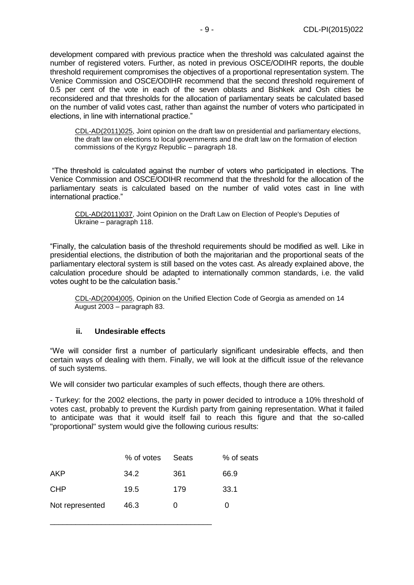development compared with previous practice when the threshold was calculated against the number of registered voters. Further, as noted in previous OSCE/ODIHR reports, the double threshold requirement compromises the objectives of a proportional representation system. The Venice Commission and OSCE/ODIHR recommend that the second threshold requirement of 0.5 per cent of the vote in each of the seven oblasts and Bishkek and Osh cities be reconsidered and that thresholds for the allocation of parliamentary seats be calculated based on the number of valid votes cast, rather than against the number of voters who participated in elections, in line with international practice."

CDL-AD(2011)025, Joint opinion on the draft law on presidential and parliamentary elections, the draft law on elections to local governments and the draft law on the formation of election commissions of the Kyrgyz Republic – paragraph 18.

"The threshold is calculated against the number of voters who participated in elections. The Venice Commission and OSCE/ODIHR recommend that the threshold for the allocation of the parliamentary seats is calculated based on the number of valid votes cast in line with international practice."

CDL-AD(2011)037, Joint Opinion on the Draft Law on Election of People's Deputies of Ukraine – paragraph 118.

"Finally, the calculation basis of the threshold requirements should be modified as well. Like in presidential elections, the distribution of both the majoritarian and the proportional seats of the parliamentary electoral system is still based on the votes cast. As already explained above, the calculation procedure should be adapted to internationally common standards, i.e. the valid votes ought to be the calculation basis."

CDL-AD(2004)005, Opinion on the Unified Election Code of Georgia as amended on 14 August 2003 – paragraph 83.

## **ii. Undesirable effects**

<span id="page-8-0"></span>"We will consider first a number of particularly significant undesirable effects, and then certain ways of dealing with them. Finally, we will look at the difficult issue of the relevance of such systems.

We will consider two particular examples of such effects, though there are others.

- Turkey: for the 2002 elections, the party in power decided to introduce a 10% threshold of votes cast, probably to prevent the Kurdish party from gaining representation. What it failed to anticipate was that it would itself fail to reach this figure and that the so-called "proportional" system would give the following curious results:

|                 | % of votes | Seats        | % of seats |
|-----------------|------------|--------------|------------|
| <b>AKP</b>      | 34.2       | 361          | 66.9       |
| <b>CHP</b>      | 19.5       | 179          | 33.1       |
| Not represented | 46.3       | $\mathbf{0}$ |            |

\_\_\_\_\_\_\_\_\_\_\_\_\_\_\_\_\_\_\_\_\_\_\_\_\_\_\_\_\_\_\_\_\_\_\_\_\_\_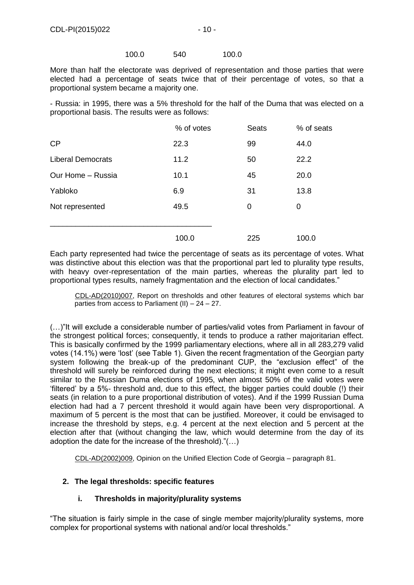#### 100.0 540 100.0

More than half the electorate was deprived of representation and those parties that were elected had a percentage of seats twice that of their percentage of votes, so that a proportional system became a majority one.

- Russia: in 1995, there was a 5% threshold for the half of the Duma that was elected on a proportional basis. The results were as follows:

|                          | % of votes | <b>Seats</b> | % of seats |
|--------------------------|------------|--------------|------------|
| CP                       | 22.3       | 99           | 44.0       |
| <b>Liberal Democrats</b> | 11.2       | 50           | 22.2       |
| Our Home - Russia        | 10.1       | 45           | 20.0       |
| Yabloko                  | 6.9        | 31           | 13.8       |
| Not represented          | 49.5       | 0            | 0          |
|                          |            |              |            |
|                          | 100.0      | 225          | 100.0      |

Each party represented had twice the percentage of seats as its percentage of votes. What was distinctive about this election was that the proportional part led to plurality type results, with heavy over-representation of the main parties, whereas the plurality part led to proportional types results, namely fragmentation and the election of local candidates."

CDL-AD(2010)007, Report on thresholds and other features of electoral systems which bar parties from access to Parliament (II) – 24 – 27.

(…)"It will exclude a considerable number of parties/valid votes from Parliament in favour of the strongest political forces; consequently, it tends to produce a rather majoritarian effect. This is basically confirmed by the 1999 parliamentary elections, where all in all 283,279 valid votes (14.1%) were 'lost' (see Table 1). Given the recent fragmentation of the Georgian party system following the break-up of the predominant CUP, the "exclusion effect" of the threshold will surely be reinforced during the next elections; it might even come to a result similar to the Russian Duma elections of 1995, when almost 50% of the valid votes were 'filtered' by a 5%- threshold and, due to this effect, the bigger parties could double (!) their seats (in relation to a pure proportional distribution of votes). And if the 1999 Russian Duma election had had a 7 percent threshold it would again have been very disproportional. A maximum of 5 percent is the most that can be justified. Moreover, it could be envisaged to increase the threshold by steps, e.g. 4 percent at the next election and 5 percent at the election after that (without changing the law, which would determine from the day of its adoption the date for the increase of the threshold)."(…)

CDL-AD(2002)009, Opinion on the Unified Election Code of Georgia – paragraph 81.

## <span id="page-9-1"></span><span id="page-9-0"></span>**2. The legal thresholds: specific features**

## **i. Thresholds in majority/plurality systems**

"The situation is fairly simple in the case of single member majority/plurality systems, more complex for proportional systems with national and/or local thresholds."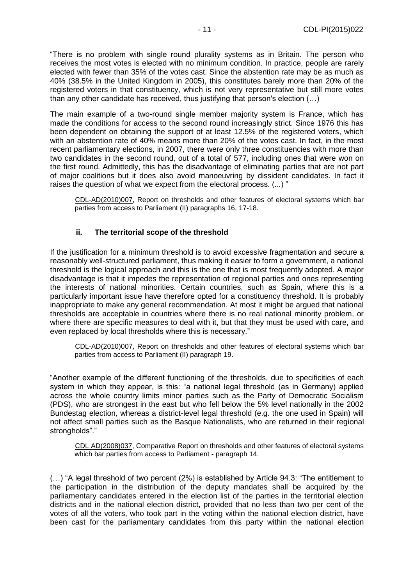"There is no problem with single round plurality systems as in Britain. The person who receives the most votes is elected with no minimum condition. In practice, people are rarely elected with fewer than 35% of the votes cast. Since the abstention rate may be as much as 40% (38.5% in the United Kingdom in 2005), this constitutes barely more than 20% of the registered voters in that constituency, which is not very representative but still more votes than any other candidate has received, thus justifying that person's election (…)

The main example of a two-round single member majority system is France, which has made the conditions for access to the second round increasingly strict. Since 1976 this has been dependent on obtaining the support of at least 12.5% of the registered voters, which with an abstention rate of 40% means more than 20% of the votes cast. In fact, in the most recent parliamentary elections, in 2007, there were only three constituencies with more than two candidates in the second round, out of a total of 577, including ones that were won on the first round. Admittedly, this has the disadvantage of eliminating parties that are not part of major coalitions but it does also avoid manoeuvring by dissident candidates. In fact it raises the question of what we expect from the electoral process. (...) "

CDL-AD(2010)007, Report on thresholds and other features of electoral systems which bar parties from access to Parliament (II) paragraphs 16, 17-18.

## **ii. The territorial scope of the threshold**

<span id="page-10-0"></span>If the justification for a minimum threshold is to avoid excessive fragmentation and secure a reasonably well-structured parliament, thus making it easier to form a government, a national threshold is the logical approach and this is the one that is most frequently adopted. A major disadvantage is that it impedes the representation of regional parties and ones representing the interests of national minorities. Certain countries, such as Spain, where this is a particularly important issue have therefore opted for a constituency threshold. It is probably inappropriate to make any general recommendation. At most it might be argued that national thresholds are acceptable in countries where there is no real national minority problem, or where there are specific measures to deal with it, but that they must be used with care, and even replaced by local thresholds where this is necessary."

CDL-AD(2010)007, Report on thresholds and other features of electoral systems which bar parties from access to Parliament (II) paragraph 19.

"Another example of the different functioning of the thresholds, due to specificities of each system in which they appear, is this: "a national legal threshold (as in Germany) applied across the whole country limits minor parties such as the Party of Democratic Socialism (PDS), who are strongest in the east but who fell below the 5% level nationally in the 2002 Bundestag election, whereas a district-level legal threshold (e.g. the one used in Spain) will not affect small parties such as the Basque Nationalists, who are returned in their regional strongholds"."

CDL AD(2008)037, Comparative Report on thresholds and other features of electoral systems which bar parties from access to Parliament - paragraph 14.

(…) "A legal threshold of two percent (2%) is established by Article 94.3: "The entitlement to the participation in the distribution of the deputy mandates shall be acquired by the parliamentary candidates entered in the election list of the parties in the territorial election districts and in the national election district, provided that no less than two per cent of the votes of all the voters, who took part in the voting within the national election district, have been cast for the parliamentary candidates from this party within the national election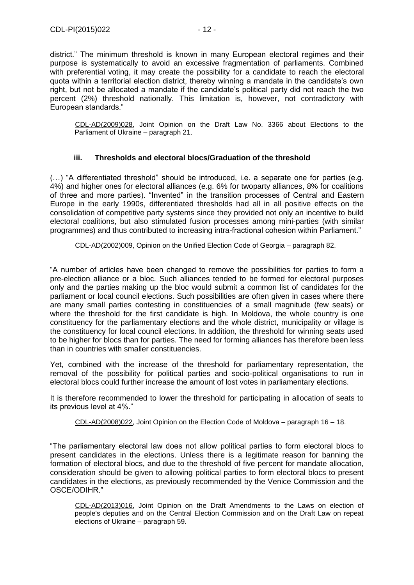district." The minimum threshold is known in many European electoral regimes and their purpose is systematically to avoid an excessive fragmentation of parliaments. Combined with preferential voting, it may create the possibility for a candidate to reach the electoral quota within a territorial election district, thereby winning a mandate in the candidate's own right, but not be allocated a mandate if the candidate's political party did not reach the two percent (2%) threshold nationally. This limitation is, however, not contradictory with European standards."

CDL-AD(2009)028, Joint Opinion on the Draft Law No. 3366 about Elections to the Parliament of Ukraine – paragraph 21.

## **iii. Thresholds and electoral blocs/Graduation of the threshold**

<span id="page-11-0"></span>(…) "A differentiated threshold" should be introduced, i.e. a separate one for parties (e.g. 4%) and higher ones for electoral alliances (e.g. 6% for twoparty alliances, 8% for coalitions of three and more parties). "Invented" in the transition processes of Central and Eastern Europe in the early 1990s, differentiated thresholds had all in all positive effects on the consolidation of competitive party systems since they provided not only an incentive to build electoral coalitions, but also stimulated fusion processes among mini-parties (with similar programmes) and thus contributed to increasing intra-fractional cohesion within Parliament."

CDL-AD(2002)009, Opinion on the Unified Election Code of Georgia – paragraph 82.

"A number of articles have been changed to remove the possibilities for parties to form a pre-election alliance or a bloc. Such alliances tended to be formed for electoral purposes only and the parties making up the bloc would submit a common list of candidates for the parliament or local council elections. Such possibilities are often given in cases where there are many small parties contesting in constituencies of a small magnitude (few seats) or where the threshold for the first candidate is high. In Moldova, the whole country is one constituency for the parliamentary elections and the whole district, municipality or village is the constituency for local council elections. In addition, the threshold for winning seats used to be higher for blocs than for parties. The need for forming alliances has therefore been less than in countries with smaller constituencies.

Yet, combined with the increase of the threshold for parliamentary representation, the removal of the possibility for political parties and socio-political organisations to run in electoral blocs could further increase the amount of lost votes in parliamentary elections.

It is therefore recommended to lower the threshold for participating in allocation of seats to its previous level at 4%."

CDL-AD(2008)022, Joint Opinion on the Election Code of Moldova – paragraph 16 – 18.

"The parliamentary electoral law does not allow political parties to form electoral blocs to present candidates in the elections. Unless there is a legitimate reason for banning the formation of electoral blocs, and due to the threshold of five percent for mandate allocation, consideration should be given to allowing political parties to form electoral blocs to present candidates in the elections, as previously recommended by the Venice Commission and the OSCE/ODIHR."

CDL-AD(2013)016, Joint Opinion on the Draft Amendments to the Laws on election of people's deputies and on the Central Election Commission and on the Draft Law on repeat elections of Ukraine – paragraph 59.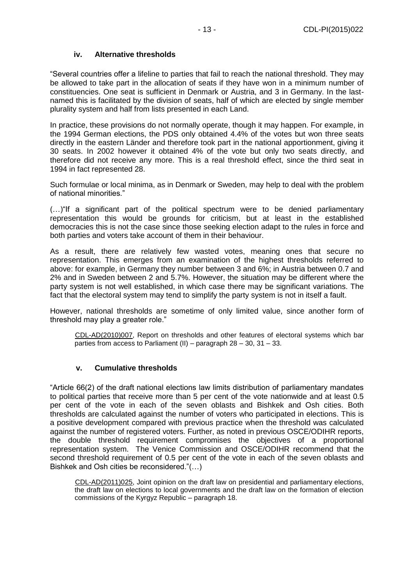## **iv. Alternative thresholds**

<span id="page-12-0"></span>"Several countries offer a lifeline to parties that fail to reach the national threshold. They may be allowed to take part in the allocation of seats if they have won in a minimum number of constituencies. One seat is sufficient in Denmark or Austria, and 3 in Germany. In the lastnamed this is facilitated by the division of seats, half of which are elected by single member plurality system and half from lists presented in each Land.

In practice, these provisions do not normally operate, though it may happen. For example, in the 1994 German elections, the PDS only obtained 4.4% of the votes but won three seats directly in the eastern Länder and therefore took part in the national apportionment, giving it 30 seats. In 2002 however it obtained 4% of the vote but only two seats directly, and therefore did not receive any more. This is a real threshold effect, since the third seat in 1994 in fact represented 28.

Such formulae or local minima, as in Denmark or Sweden, may help to deal with the problem of national minorities."

(…)"If a significant part of the political spectrum were to be denied parliamentary representation this would be grounds for criticism, but at least in the established democracies this is not the case since those seeking election adapt to the rules in force and both parties and voters take account of them in their behaviour.

As a result, there are relatively few wasted votes, meaning ones that secure no representation. This emerges from an examination of the highest thresholds referred to above: for example, in Germany they number between 3 and 6%; in Austria between 0.7 and 2% and in Sweden between 2 and 5.7%. However, the situation may be different where the party system is not well established, in which case there may be significant variations. The fact that the electoral system may tend to simplify the party system is not in itself a fault.

However, national thresholds are sometime of only limited value, since another form of threshold may play a greater role."

CDL-AD(2010)007, Report on thresholds and other features of electoral systems which bar parties from access to Parliament (II) – paragraph 28 – 30, 31 – 33.

## **v. Cumulative thresholds**

<span id="page-12-1"></span>"Article 66(2) of the draft national elections law limits distribution of parliamentary mandates to political parties that receive more than 5 per cent of the vote nationwide and at least 0.5 per cent of the vote in each of the seven oblasts and Bishkek and Osh cities. Both thresholds are calculated against the number of voters who participated in elections. This is a positive development compared with previous practice when the threshold was calculated against the number of registered voters. Further, as noted in previous OSCE/ODIHR reports, the double threshold requirement compromises the objectives of a proportional representation system. The Venice Commission and OSCE/ODIHR recommend that the second threshold requirement of 0.5 per cent of the vote in each of the seven oblasts and Bishkek and Osh cities be reconsidered."(…)

CDL-AD(2011)025, Joint opinion on the draft law on presidential and parliamentary elections, the draft law on elections to local governments and the draft law on the formation of election commissions of the Kyrgyz Republic – paragraph 18.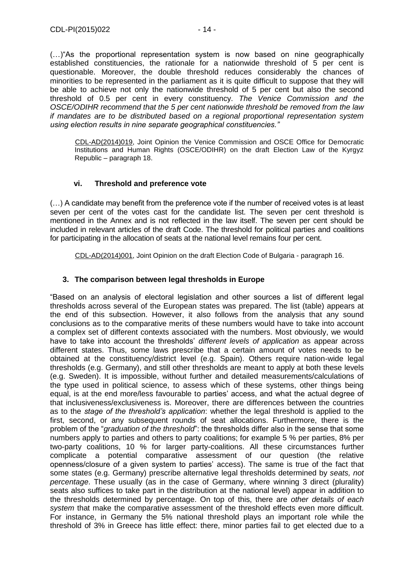CDL-AD(2014)019, Joint Opinion the Venice Commission and OSCE Office for Democratic Institutions and Human Rights (OSCE/ODIHR) on the draft Election Law of the Kyrgyz Republic – paragraph 18.

## **vi. Threshold and preference vote**

<span id="page-13-0"></span>(…) A candidate may benefit from the preference vote if the number of received votes is at least seven per cent of the votes cast for the candidate list. The seven per cent threshold is mentioned in the Annex and is not reflected in the law itself. The seven per cent should be included in relevant articles of the draft Code. The threshold for political parties and coalitions for participating in the allocation of seats at the national level remains four per cent.

CDL-AD(2014)001, Joint Opinion on the draft Election Code of Bulgaria - paragraph 16.

# <span id="page-13-1"></span>**3. The comparison between legal thresholds in Europe**

*using election results in nine separate geographical constituencies."*

"Based on an analysis of electoral legislation and other sources a list of different legal thresholds across several of the European states was prepared. The list (table) appears at the end of this subsection. However, it also follows from the analysis that any sound conclusions as to the comparative merits of these numbers would have to take into account a complex set of different contexts associated with the numbers. Most obviously, we would have to take into account the thresholds' *different levels of application* as appear across different states. Thus, some laws prescribe that a certain amount of votes needs to be obtained at the constituency/district level (e.g. Spain). Others require nation-wide legal thresholds (e.g. Germany), and still other thresholds are meant to apply at both these levels (e.g. Sweden). It is impossible, without further and detailed measurements/calculations of the type used in political science, to assess which of these systems, other things being equal, is at the end more/less favourable to parties' access, and what the actual degree of that inclusiveness/exclusiveness is. Moreover, there are differences between the countries as to the *stage of the threshold's application*: whether the legal threshold is applied to the first, second, or any subsequent rounds of seat allocations. Furthermore, there is the problem of the "*graduation of the threshold*": the thresholds differ also in the sense that some numbers apply to parties and others to party coalitions; for example 5 % per parties, 8% per two-party coalitions, 10 % for larger party-coalitions. All these circumstances further complicate a potential comparative assessment of our question (the relative openness/closure of a given system to parties' access). The same is true of the fact that some states (e.g. Germany) prescribe alternative legal thresholds determined by *seats, not percentage*. These usually (as in the case of Germany, where winning 3 direct (plurality) seats also suffices to take part in the distribution at the national level) appear in addition to the thresholds determined by percentage. On top of this, there are *other details of each system* that make the comparative assessment of the threshold effects even more difficult. For instance, in Germany the 5% national threshold plays an important role while the threshold of 3% in Greece has little effect: there, minor parties fail to get elected due to a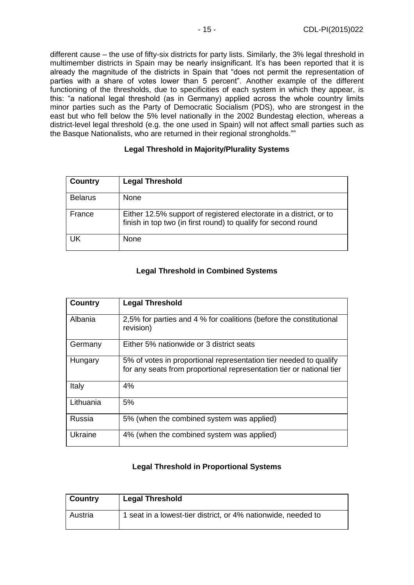different cause – the use of fifty-six districts for party lists. Similarly, the 3% legal threshold in multimember districts in Spain may be nearly insignificant. It's has been reported that it is already the magnitude of the districts in Spain that "does not permit the representation of parties with a share of votes lower than 5 percent". Another example of the different functioning of the thresholds, due to specificities of each system in which they appear, is this: "a national legal threshold (as in Germany) applied across the whole country limits minor parties such as the Party of Democratic Socialism (PDS), who are strongest in the east but who fell below the 5% level nationally in the 2002 Bundestag election, whereas a district-level legal threshold (e.g. the one used in Spain) will not affect small parties such as the Basque Nationalists, who are returned in their regional strongholds.""

## **Legal Threshold in Majority/Plurality Systems**

| Country        | <b>Legal Threshold</b>                                                                                                               |
|----------------|--------------------------------------------------------------------------------------------------------------------------------------|
| <b>Belarus</b> | <b>None</b>                                                                                                                          |
| France         | Either 12.5% support of registered electorate in a district, or to<br>finish in top two (in first round) to qualify for second round |
| UK             | None                                                                                                                                 |

# **Legal Threshold in Combined Systems**

| Country   | <b>Legal Threshold</b>                                                                                                                    |
|-----------|-------------------------------------------------------------------------------------------------------------------------------------------|
| Albania   | 2,5% for parties and 4 % for coalitions (before the constitutional<br>revision)                                                           |
| Germany   | Either 5% nationwide or 3 district seats                                                                                                  |
| Hungary   | 5% of votes in proportional representation tier needed to qualify<br>for any seats from proportional representation tier or national tier |
| Italy     | 4%                                                                                                                                        |
| Lithuania | 5%                                                                                                                                        |
| Russia    | 5% (when the combined system was applied)                                                                                                 |
| Ukraine   | 4% (when the combined system was applied)                                                                                                 |

# **Legal Threshold in Proportional Systems**

| <b>Country</b> | <b>Legal Threshold</b>                                        |
|----------------|---------------------------------------------------------------|
| Austria        | 1 seat in a lowest-tier district, or 4% nationwide, needed to |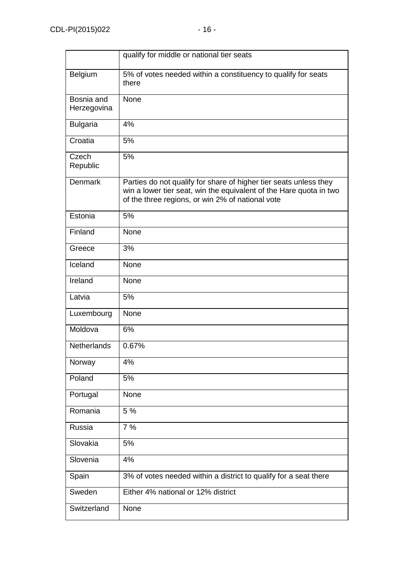|                           | qualify for middle or national tier seats                                                                                                                                                   |
|---------------------------|---------------------------------------------------------------------------------------------------------------------------------------------------------------------------------------------|
| Belgium                   | 5% of votes needed within a constituency to qualify for seats<br>there                                                                                                                      |
| Bosnia and<br>Herzegovina | None                                                                                                                                                                                        |
| <b>Bulgaria</b>           | 4%                                                                                                                                                                                          |
| Croatia                   | 5%                                                                                                                                                                                          |
| Czech<br>Republic         | 5%                                                                                                                                                                                          |
| <b>Denmark</b>            | Parties do not qualify for share of higher tier seats unless they<br>win a lower tier seat, win the equivalent of the Hare quota in two<br>of the three regions, or win 2% of national vote |
| Estonia                   | 5%                                                                                                                                                                                          |
| Finland                   | None                                                                                                                                                                                        |
| Greece                    | 3%                                                                                                                                                                                          |
| Iceland                   | None                                                                                                                                                                                        |
| Ireland                   | None                                                                                                                                                                                        |
| Latvia                    | 5%                                                                                                                                                                                          |
| Luxembourg                | None                                                                                                                                                                                        |
| Moldova                   | 6%                                                                                                                                                                                          |
| <b>Netherlands</b>        | 0.67%                                                                                                                                                                                       |
| Norway                    | 4%                                                                                                                                                                                          |
| Poland                    | 5%                                                                                                                                                                                          |
| Portugal                  | None                                                                                                                                                                                        |
| Romania                   | 5 %                                                                                                                                                                                         |
| Russia                    | 7%                                                                                                                                                                                          |
| Slovakia                  | 5%                                                                                                                                                                                          |
| Slovenia                  | 4%                                                                                                                                                                                          |
| Spain                     | 3% of votes needed within a district to qualify for a seat there                                                                                                                            |
| Sweden                    | Either 4% national or 12% district                                                                                                                                                          |
| Switzerland               | None                                                                                                                                                                                        |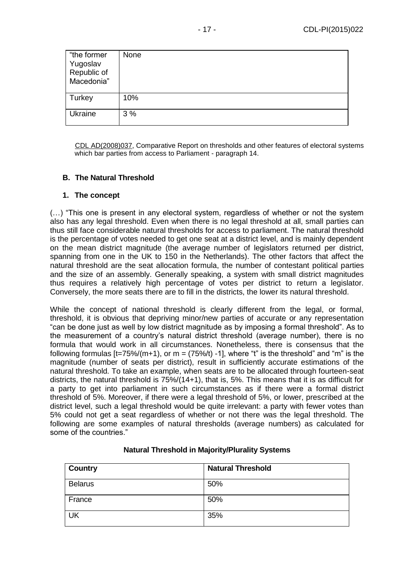| "the former<br>Yugoslav<br>Republic of<br>Macedonia" | None |
|------------------------------------------------------|------|
| Turkey                                               | 10%  |
| Ukraine                                              | 3%   |

CDL AD(2008)037, Comparative Report on thresholds and other features of electoral systems which bar parties from access to Parliament - paragraph 14.

## <span id="page-16-0"></span>**B. The Natural Threshold**

## <span id="page-16-1"></span>**1. The concept**

(…) "This one is present in any electoral system, regardless of whether or not the system also has any legal threshold. Even when there is no legal threshold at all, small parties can thus still face considerable natural thresholds for access to parliament. The natural threshold is the percentage of votes needed to get one seat at a district level, and is mainly dependent on the mean district magnitude (the average number of legislators returned per district, spanning from one in the UK to 150 in the Netherlands). The other factors that affect the natural threshold are the seat allocation formula, the number of contestant political parties and the size of an assembly. Generally speaking, a system with small district magnitudes thus requires a relatively high percentage of votes per district to return a legislator. Conversely, the more seats there are to fill in the districts, the lower its natural threshold.

While the concept of national threshold is clearly different from the legal, or formal, threshold, it is obvious that depriving minor/new parties of accurate or any representation "can be done just as well by low district magnitude as by imposing a formal threshold". As to the measurement of a country's natural district threshold (average number), there is no formula that would work in all circumstances. Nonetheless, there is consensus that the following formulas  $[t=75\%/m+1)$ , or  $m = (75\%/t)$  -1], where "t" is the threshold" and "m" is the magnitude (number of seats per district), result in sufficiently accurate estimations of the natural threshold. To take an example, when seats are to be allocated through fourteen-seat districts, the natural threshold is 75%/(14+1), that is, 5%. This means that it is as difficult for a party to get into parliament in such circumstances as if there were a formal district threshold of 5%. Moreover, if there were a legal threshold of 5%, or lower, prescribed at the district level, such a legal threshold would be quite irrelevant: a party with fewer votes than 5% could not get a seat regardless of whether or not there was the legal threshold. The following are some examples of natural thresholds (average numbers) as calculated for some of the countries."

| <b>Country</b> | <b>Natural Threshold</b> |
|----------------|--------------------------|
| <b>Belarus</b> | 50%                      |
| France         | 50%                      |
| <b>UK</b>      | 35%                      |

## **Natural Threshold in Majority/Plurality Systems**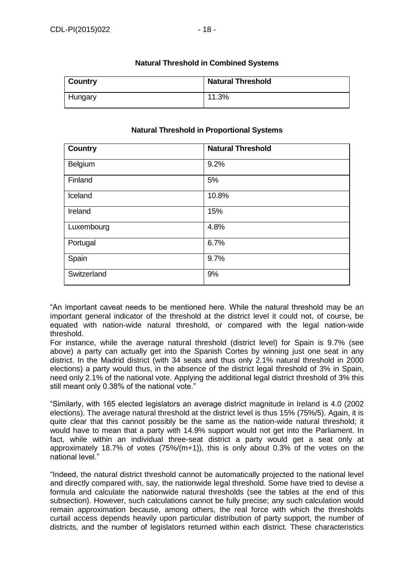| Country | <b>Natural Threshold</b> |
|---------|--------------------------|
| Hungary | 11.3%                    |

## **Natural Threshold in Combined Systems**

## **Natural Threshold in Proportional Systems**

| <b>Country</b> | <b>Natural Threshold</b> |
|----------------|--------------------------|
| Belgium        | 9.2%                     |
| Finland        | 5%                       |
| Iceland        | 10.8%                    |
| Ireland        | 15%                      |
| Luxembourg     | 4.8%                     |
| Portugal       | 6.7%                     |
| Spain          | 9.7%                     |
| Switzerland    | 9%                       |

"An important caveat needs to be mentioned here. While the natural threshold may be an important general indicator of the threshold at the district level it could not, of course, be equated with nation-wide natural threshold, or compared with the legal nation-wide threshold.

For instance, while the average natural threshold (district level) for Spain is 9.7% (see above) a party can actually get into the Spanish Cortes by winning just one seat in any district. In the Madrid district (with 34 seats and thus only 2.1% natural threshold in 2000 elections) a party would thus, in the absence of the district legal threshold of 3% in Spain, need only 2.1% of the national vote. Applying the additional legal district threshold of 3% this still meant only 0.38% of the national vote."

"Similarly, with 165 elected legislators an average district magnitude in Ireland is 4.0 (2002 elections). The average natural threshold at the district level is thus 15% (75%/5). Again, it is quite clear that this cannot possibly be the same as the nation-wide natural threshold; it would have to mean that a party with 14.9% support would not get into the Parliament. In fact, while within an individual three-seat district a party would get a seat only at approximately 18.7% of votes (75%/(m+1)), this is only about 0.3% of the votes on the national level."

"Indeed, the natural district threshold cannot be automatically projected to the national level and directly compared with, say, the nationwide legal threshold. Some have tried to devise a formula and calculate the nationwide natural thresholds (see the tables at the end of this subsection). However, such calculations cannot be fully precise; any such calculation would remain approximation because, among others, the real force with which the thresholds curtail access depends heavily upon particular distribution of party support, the number of districts, and the number of legislators returned within each district. These characteristics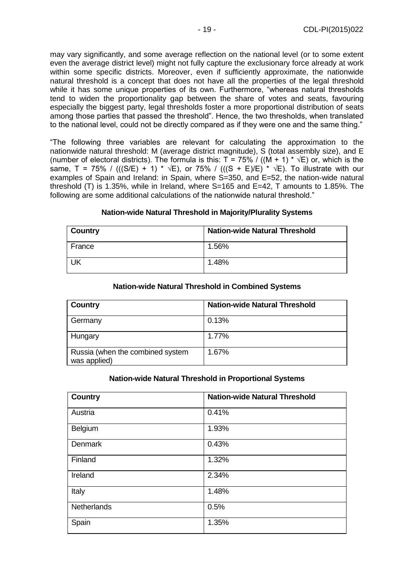may vary significantly, and some average reflection on the national level (or to some extent even the average district level) might not fully capture the exclusionary force already at work within some specific districts. Moreover, even if sufficiently approximate, the nationwide natural threshold is a concept that does not have all the properties of the legal threshold while it has some unique properties of its own. Furthermore, "whereas natural thresholds tend to widen the proportionality gap between the share of votes and seats, favouring especially the biggest party, legal thresholds foster a more proportional distribution of seats among those parties that passed the threshold". Hence, the two thresholds, when translated to the national level, could not be directly compared as if they were one and the same thing."

"The following three variables are relevant for calculating the approximation to the nationwide natural threshold: M (average district magnitude), S (total assembly size), and E (number of electoral districts). The formula is this:  $T = 75\%$  / ((M + 1)  $* \sqrt{E}$ ) or, which is the same, T = 75% / (((S/E) + 1) \*  $\sqrt{E}$ ), or 75% / (((S + E)/E) \*  $\sqrt{E}$ ). To illustrate with our examples of Spain and Ireland: in Spain, where S=350, and E=52, the nation-wide natural threshold (T) is 1.35%, while in Ireland, where S=165 and E=42, T amounts to 1.85%. The following are some additional calculations of the nationwide natural threshold."

| <b>Country</b> | <b>Nation-wide Natural Threshold</b> |
|----------------|--------------------------------------|
| France         | 1.56%                                |
| UK             | 1.48%                                |

#### **Nation-wide Natural Threshold in Majority/Plurality Systems**

| Country                                          | <b>Nation-wide Natural Threshold</b> |
|--------------------------------------------------|--------------------------------------|
| Germany                                          | 0.13%                                |
| Hungary                                          | 1.77%                                |
| Russia (when the combined system<br>was applied) | 1.67%                                |

#### **Nation-wide Natural Threshold in Combined Systems**

#### **Nation-wide Natural Threshold in Proportional Systems**

| <b>Country</b> | <b>Nation-wide Natural Threshold</b> |
|----------------|--------------------------------------|
| Austria        | 0.41%                                |
| Belgium        | 1.93%                                |
| Denmark        | 0.43%                                |
| Finland        | 1.32%                                |
| Ireland        | 2.34%                                |
| Italy          | 1.48%                                |
| Netherlands    | 0.5%                                 |
| Spain          | 1.35%                                |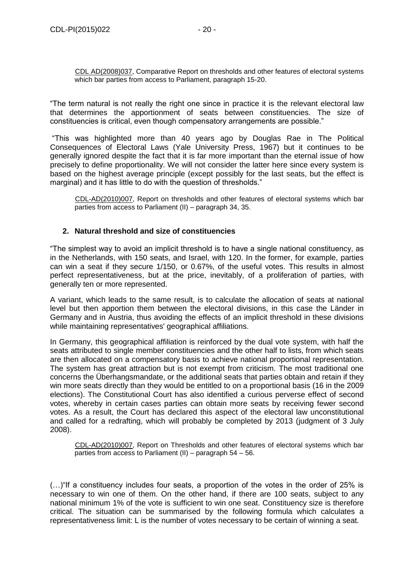CDL AD(2008)037, Comparative Report on thresholds and other features of electoral systems which bar parties from access to Parliament, paragraph 15-20.

"The term natural is not really the right one since in practice it is the relevant electoral law that determines the apportionment of seats between constituencies. The size of constituencies is critical, even though compensatory arrangements are possible."

"This was highlighted more than 40 years ago by Douglas Rae in The Political Consequences of Electoral Laws (Yale University Press, 1967) but it continues to be generally ignored despite the fact that it is far more important than the eternal issue of how precisely to define proportionality. We will not consider the latter here since every system is based on the highest average principle (except possibly for the last seats, but the effect is marginal) and it has little to do with the question of thresholds."

CDL-AD(2010)007, Report on thresholds and other features of electoral systems which bar parties from access to Parliament (II) – paragraph 34, 35.

## <span id="page-19-0"></span>**2. Natural threshold and size of constituencies**

"The simplest way to avoid an implicit threshold is to have a single national constituency, as in the Netherlands, with 150 seats, and Israel, with 120. In the former, for example, parties can win a seat if they secure 1/150, or 0.67%, of the useful votes. This results in almost perfect representativeness, but at the price, inevitably, of a proliferation of parties, with generally ten or more represented.

A variant, which leads to the same result, is to calculate the allocation of seats at national level but then apportion them between the electoral divisions, in this case the Länder in Germany and in Austria, thus avoiding the effects of an implicit threshold in these divisions while maintaining representatives' geographical affiliations.

In Germany, this geographical affiliation is reinforced by the dual vote system, with half the seats attributed to single member constituencies and the other half to lists, from which seats are then allocated on a compensatory basis to achieve national proportional representation. The system has great attraction but is not exempt from criticism. The most traditional one concerns the Überhangsmandate, or the additional seats that parties obtain and retain if they win more seats directly than they would be entitled to on a proportional basis (16 in the 2009 elections). The Constitutional Court has also identified a curious perverse effect of second votes, whereby in certain cases parties can obtain more seats by receiving fewer second votes. As a result, the Court has declared this aspect of the electoral law unconstitutional and called for a redrafting, which will probably be completed by 2013 (judgment of 3 July 2008).

CDL-AD(2010)007, Report on Thresholds and other features of electoral systems which bar parties from access to Parliament (II) – paragraph 54 – 56.

(…)"If a constituency includes four seats, a proportion of the votes in the order of 25% is necessary to win one of them. On the other hand, if there are 100 seats, subject to any national minimum 1% of the vote is sufficient to win one seat. Constituency size is therefore critical. The situation can be summarised by the following formula which calculates a representativeness limit: L is the number of votes necessary to be certain of winning a seat.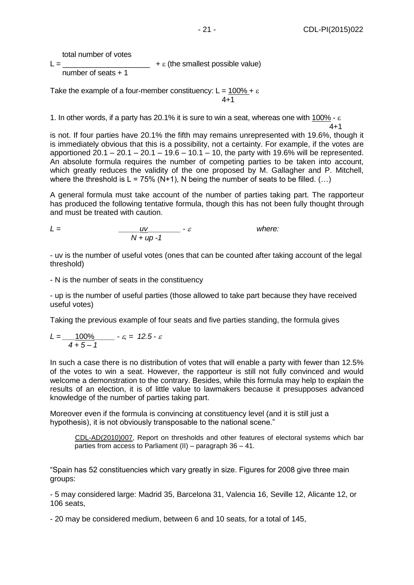total number of votes

 $L = \begin{bmatrix} \frac{1}{2} & \frac{1}{2} \\ \frac{1}{2} & \frac{1}{2} \\ \frac{1}{2} & \frac{1}{2} \end{bmatrix}$  +  $\epsilon$  (the smallest possible value)

number of seats + 1

Take the example of a four-member constituency:  $L = 100\% + \varepsilon$ 4+1

1. In other words, if a party has 20.1% it is sure to win a seat, whereas one with 100% -  $\varepsilon$ 

4+1 is not. If four parties have 20.1% the fifth may remains unrepresented with 19.6%, though it is immediately obvious that this is a possibility, not a certainty. For example, if the votes are apportioned  $20.1 - 20.1 - 20.1 - 19.6 - 10.1 - 10$ , the party with 19.6% will be represented. An absolute formula requires the number of competing parties to be taken into account, which greatly reduces the validity of the one proposed by M. Gallagher and P. Mitchell, where the threshold is  $L = 75\%$  (N+1), N being the number of seats to be filled. (...)

A general formula must take account of the number of parties taking part. The rapporteur has produced the following tentative formula, though this has not been fully thought through and must be treated with caution.

$$
L = \frac{uv}{N + up - 1} - \varepsilon
$$
 where:

- uv is the number of useful votes (ones that can be counted after taking account of the legal threshold)

- N is the number of seats in the constituency

- up is the number of useful parties (those allowed to take part because they have received useful votes)

Taking the previous example of four seats and five parties standing, the formula gives

$$
L = \frac{100\%}{4 + 5 - 1} - \varepsilon = 12.5 - \varepsilon
$$

In such a case there is no distribution of votes that will enable a party with fewer than 12.5% of the votes to win a seat. However, the rapporteur is still not fully convinced and would welcome a demonstration to the contrary. Besides, while this formula may help to explain the results of an election, it is of little value to lawmakers because it presupposes advanced knowledge of the number of parties taking part.

Moreover even if the formula is convincing at constituency level (and it is still just a hypothesis), it is not obviously transposable to the national scene."

CDL-AD(2010)007, Report on thresholds and other features of electoral systems which bar parties from access to Parliament (II) – paragraph 36 – 41.

"Spain has 52 constituencies which vary greatly in size. Figures for 2008 give three main groups:

- 5 may considered large: Madrid 35, Barcelona 31, Valencia 16, Seville 12, Alicante 12, or 106 seats,

- 20 may be considered medium, between 6 and 10 seats, for a total of 145,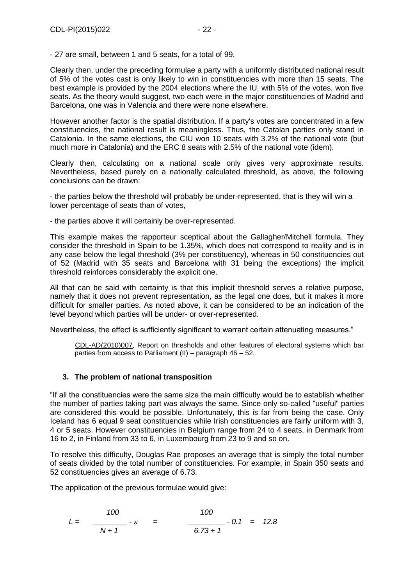- 27 are small, between 1 and 5 seats, for a total of 99.

Clearly then, under the preceding formulae a party with a uniformly distributed national result of 5% of the votes cast is only likely to win in constituencies with more than 15 seats. The best example is provided by the 2004 elections where the IU, with 5% of the votes, won five seats. As the theory would suggest, two each were in the major constituencies of Madrid and Barcelona, one was in Valencia and there were none elsewhere.

However another factor is the spatial distribution. If a party's votes are concentrated in a few constituencies, the national result is meaningless. Thus, the Catalan parties only stand in Catalonia. In the same elections, the CIU won 10 seats with 3.2% of the national vote (but much more in Catalonia) and the ERC 8 seats with 2.5% of the national vote (idem).

Clearly then, calculating on a national scale only gives very approximate results. Nevertheless, based purely on a nationally calculated threshold, as above, the following conclusions can be drawn:

- the parties below the threshold will probably be under-represented, that is they will win a lower percentage of seats than of votes,

- the parties above it will certainly be over-represented.

This example makes the rapporteur sceptical about the Gallagher/Mitchell formula. They consider the threshold in Spain to be 1.35%, which does not correspond to reality and is in any case below the legal threshold (3% per constituency), whereas in 50 constituencies out of 52 (Madrid with 35 seats and Barcelona with 31 being the exceptions) the implicit threshold reinforces considerably the explicit one.

All that can be said with certainty is that this implicit threshold serves a relative purpose, namely that it does not prevent representation, as the legal one does, but it makes it more difficult for smaller parties. As noted above, it can be considered to be an indication of the level beyond which parties will be under- or over-represented.

Nevertheless, the effect is sufficiently significant to warrant certain attenuating measures."

CDL-AD(2010)007, Report on thresholds and other features of electoral systems which bar parties from access to Parliament (II) – paragraph 46 – 52.

## <span id="page-21-0"></span>**3. The problem of national transposition**

"If all the constituencies were the same size the main difficulty would be to establish whether the number of parties taking part was always the same. Since only so-called "useful" parties are considered this would be possible. Unfortunately, this is far from being the case. Only Iceland has 6 equal 9 seat constituencies while Irish constituencies are fairly uniform with 3, 4 or 5 seats. However constituencies in Belgium range from 24 to 4 seats, in Denmark from 16 to 2, in Finland from 33 to 6, in Luxembourg from 23 to 9 and so on.

To resolve this difficulty, Douglas Rae proposes an average that is simply the total number of seats divided by the total number of constituencies. For example, in Spain 350 seats and 52 constituencies gives an average of 6.73.

The application of the previous formulae would give:

$$
L = \frac{100}{N+1} - \varepsilon = \frac{100}{6.73+1} - 0.1 = 12.8
$$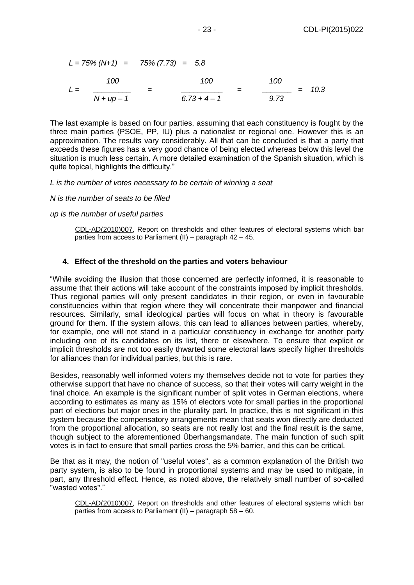$$
L = 75\% (N+1) = 75\% (7.73) = 5.8
$$
  

$$
L = \frac{100}{N + up - 1} = \frac{100}{6.73 + 4 - 1} = \frac{100}{9.73} = 10.3
$$

The last example is based on four parties, assuming that each constituency is fought by the three main parties (PSOE, PP, IU) plus a nationalist or regional one. However this is an approximation. The results vary considerably. All that can be concluded is that a party that exceeds these figures has a very good chance of being elected whereas below this level the situation is much less certain. A more detailed examination of the Spanish situation, which is quite topical, highlights the difficulty."

#### *L is the number of votes necessary to be certain of winning a seat*

*N is the number of seats to be filled*

*up is the number of useful parties*

CDL-AD(2010)007, Report on thresholds and other features of electoral systems which bar parties from access to Parliament (II) – paragraph 42 – 45.

#### <span id="page-22-0"></span>**4. Effect of the threshold on the parties and voters behaviour**

"While avoiding the illusion that those concerned are perfectly informed, it is reasonable to assume that their actions will take account of the constraints imposed by implicit thresholds. Thus regional parties will only present candidates in their region, or even in favourable constituencies within that region where they will concentrate their manpower and financial resources. Similarly, small ideological parties will focus on what in theory is favourable ground for them. If the system allows, this can lead to alliances between parties, whereby, for example, one will not stand in a particular constituency in exchange for another party including one of its candidates on its list, there or elsewhere. To ensure that explicit or implicit thresholds are not too easily thwarted some electoral laws specify higher thresholds for alliances than for individual parties, but this is rare.

Besides, reasonably well informed voters my themselves decide not to vote for parties they otherwise support that have no chance of success, so that their votes will carry weight in the final choice. An example is the significant number of split votes in German elections, where according to estimates as many as 15% of electors vote for small parties in the proportional part of elections but major ones in the plurality part. In practice, this is not significant in this system because the compensatory arrangements mean that seats won directly are deducted from the proportional allocation, so seats are not really lost and the final result is the same, though subject to the aforementioned Überhangsmandate. The main function of such split votes is in fact to ensure that small parties cross the 5% barrier, and this can be critical.

Be that as it may, the notion of "useful votes", as a common explanation of the British two party system, is also to be found in proportional systems and may be used to mitigate, in part, any threshold effect. Hence, as noted above, the relatively small number of so-called "wasted votes"."

CDL-AD(2010)007, Report on thresholds and other features of electoral systems which bar parties from access to Parliament (II) – paragraph 58 – 60.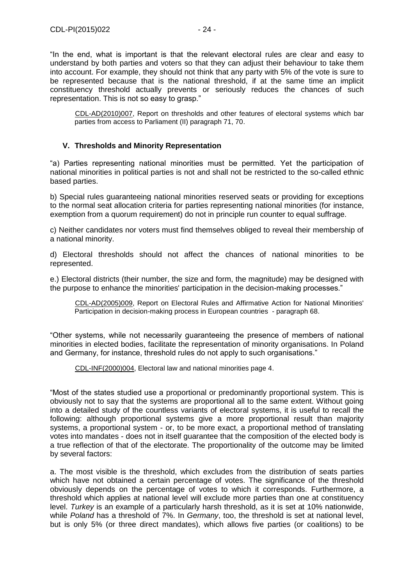"In the end, what is important is that the relevant electoral rules are clear and easy to understand by both parties and voters so that they can adjust their behaviour to take them into account. For example, they should not think that any party with 5% of the vote is sure to be represented because that is the national threshold, if at the same time an implicit constituency threshold actually prevents or seriously reduces the chances of such representation. This is not so easy to grasp."

CDL-AD(2010)007, Report on thresholds and other features of electoral systems which bar parties from access to Parliament (II) paragraph 71, 70.

## <span id="page-23-0"></span>**V. Thresholds and Minority Representation**

"a) Parties representing national minorities must be permitted. Yet the participation of national minorities in political parties is not and shall not be restricted to the so-called ethnic based parties.

b) Special rules guaranteeing national minorities reserved seats or providing for exceptions to the normal seat allocation criteria for parties representing national minorities (for instance, exemption from a quorum requirement) do not in principle run counter to equal suffrage.

c) Neither candidates nor voters must find themselves obliged to reveal their membership of a national minority.

d) Electoral thresholds should not affect the chances of national minorities to be represented.

e.) Electoral districts (their number, the size and form, the magnitude) may be designed with the purpose to enhance the minorities' participation in the decision-making processes."

CDL-AD(2005)009, Report on Electoral Rules and Affirmative Action for National Minorities' Participation in decision-making process in European countries - paragraph 68.

"Other systems, while not necessarily guaranteeing the presence of members of national minorities in elected bodies, facilitate the representation of minority organisations. In Poland and Germany, for instance, threshold rules do not apply to such organisations."

CDL-INF(2000)004, Electoral law and national minorities page 4.

"Most of the states studied use a proportional or predominantly proportional system. This is obviously not to say that the systems are proportional all to the same extent. Without going into a detailed study of the countless variants of electoral systems, it is useful to recall the following: although proportional systems give a more proportional result than majority systems, a proportional system - or, to be more exact, a proportional method of translating votes into mandates - does not in itself guarantee that the composition of the elected body is a true reflection of that of the electorate. The proportionality of the outcome may be limited by several factors:

a. The most visible is the threshold, which excludes from the distribution of seats parties which have not obtained a certain percentage of votes. The significance of the threshold obviously depends on the percentage of votes to which it corresponds. Furthermore, a threshold which applies at national level will exclude more parties than one at constituency level. *Turkey* is an example of a particularly harsh threshold, as it is set at 10% nationwide, while *Poland* has a threshold of 7%. In *Germany*, too, the threshold is set at national level, but is only 5% (or three direct mandates), which allows five parties (or coalitions) to be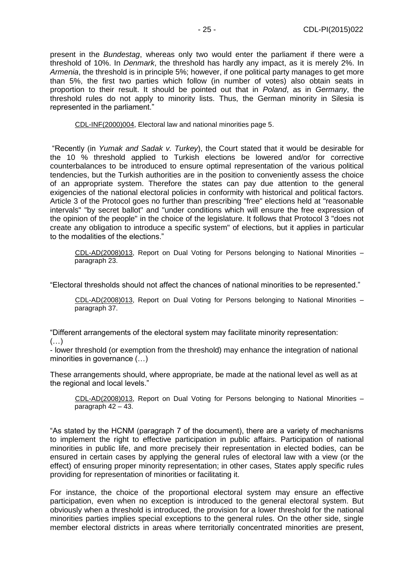present in the *Bundestag*, whereas only two would enter the parliament if there were a threshold of 10%. In *Denmark*, the threshold has hardly any impact, as it is merely 2%. In *Armenia*, the threshold is in principle 5%; however, if one political party manages to get more than 5%, the first two parties which follow (in number of votes) also obtain seats in proportion to their result. It should be pointed out that in *Poland*, as in *Germany*, the threshold rules do not apply to minority lists. Thus, the German minority in Silesia is represented in the parliament."

CDL-INF(2000)004, Electoral law and national minorities page 5.

"Recently (in *Yumak and Sadak v. Turkey*), the Court stated that it would be desirable for the 10 % threshold applied to Turkish elections be lowered and/or for corrective counterbalances to be introduced to ensure optimal representation of the various political tendencies, but the Turkish authorities are in the position to conveniently assess the choice of an appropriate system. Therefore the states can pay due attention to the general exigencies of the national electoral policies in conformity with historical and political factors. Article 3 of the Protocol goes no further than prescribing "free" elections held at "reasonable intervals" "by secret ballot" and "under conditions which will ensure the free expression of the opinion of the people" in the choice of the legislature. It follows that Protocol 3 "does not create any obligation to introduce a specific system" of elections, but it applies in particular to the modalities of the elections."

CDL-AD(2008)013, Report on Dual Voting for Persons belonging to National Minorities – paragraph 23.

"Electoral thresholds should not affect the chances of national minorities to be represented."

CDL-AD(2008)013, Report on Dual Voting for Persons belonging to National Minorities – paragraph 37.

"Different arrangements of the electoral system may facilitate minority representation:  $(\ldots)$ 

- lower threshold (or exemption from the threshold) may enhance the integration of national minorities in governance (…)

These arrangements should, where appropriate, be made at the national level as well as at the regional and local levels."

CDL-AD(2008)013, Report on Dual Voting for Persons belonging to National Minorities – paragraph 42 – 43.

"As stated by the HCNM (paragraph 7 of the document), there are a variety of mechanisms to implement the right to effective participation in public affairs. Participation of national minorities in public life, and more precisely their representation in elected bodies, can be ensured in certain cases by applying the general rules of electoral law with a view (or the effect) of ensuring proper minority representation; in other cases, States apply specific rules providing for representation of minorities or facilitating it.

For instance, the choice of the proportional electoral system may ensure an effective participation, even when no exception is introduced to the general electoral system. But obviously when a threshold is introduced, the provision for a lower threshold for the national minorities parties implies special exceptions to the general rules. On the other side, single member electoral districts in areas where territorially concentrated minorities are present,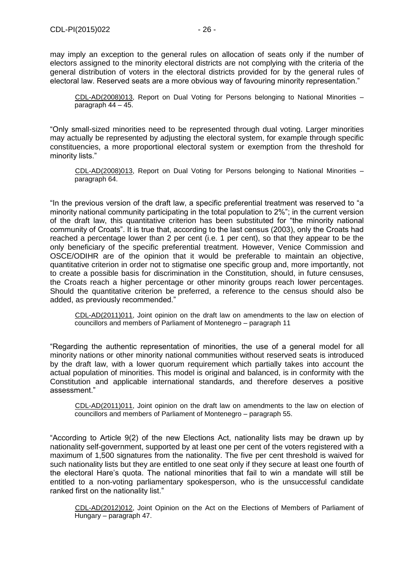may imply an exception to the general rules on allocation of seats only if the number of electors assigned to the minority electoral districts are not complying with the criteria of the general distribution of voters in the electoral districts provided for by the general rules of electoral law. Reserved seats are a more obvious way of favouring minority representation."

CDL-AD(2008)013, Report on Dual Voting for Persons belonging to National Minorities – paragraph 44 – 45.

"Only small-sized minorities need to be represented through dual voting. Larger minorities may actually be represented by adjusting the electoral system, for example through specific constituencies, a more proportional electoral system or exemption from the threshold for minority lists."

CDL-AD(2008)013, Report on Dual Voting for Persons belonging to National Minorities – paragraph 64.

"In the previous version of the draft law, a specific preferential treatment was reserved to "a minority national community participating in the total population to 2%"; in the current version of the draft law, this quantitative criterion has been substituted for "the minority national community of Croats". It is true that, according to the last census (2003), only the Croats had reached a percentage lower than 2 per cent (i.e. 1 per cent), so that they appear to be the only beneficiary of the specific preferential treatment. However, Venice Commission and OSCE/ODIHR are of the opinion that it would be preferable to maintain an objective, quantitative criterion in order not to stigmatise one specific group and, more importantly, not to create a possible basis for discrimination in the Constitution, should, in future censuses, the Croats reach a higher percentage or other minority groups reach lower percentages. Should the quantitative criterion be preferred, a reference to the census should also be added, as previously recommended."

CDL-AD(2011)011, Joint opinion on the draft law on amendments to the law on election of councillors and members of Parliament of Montenegro – paragraph 11

"Regarding the authentic representation of minorities, the use of a general model for all minority nations or other minority national communities without reserved seats is introduced by the draft law, with a lower quorum requirement which partially takes into account the actual population of minorities. This model is original and balanced, is in conformity with the Constitution and applicable international standards, and therefore deserves a positive assessment."

CDL-AD(2011)011, Joint opinion on the draft law on amendments to the law on election of councillors and members of Parliament of Montenegro – paragraph 55.

"According to Article 9(2) of the new Elections Act, nationality lists may be drawn up by nationality self-government, supported by at least one per cent of the voters registered with a maximum of 1,500 signatures from the nationality. The five per cent threshold is waived for such nationality lists but they are entitled to one seat only if they secure at least one fourth of the electoral Hare's quota. The national minorities that fail to win a mandate will still be entitled to a non-voting parliamentary spokesperson, who is the unsuccessful candidate ranked first on the nationality list."

CDL-AD(2012)012, Joint Opinion on the Act on the Elections of Members of Parliament of Hungary – paragraph 47.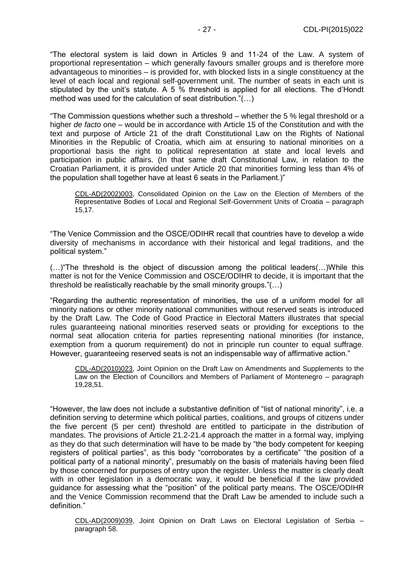"The electoral system is laid down in Articles 9 and 11-24 of the Law. A system of proportional representation – which generally favours smaller groups and is therefore more advantageous to minorities – is provided for, with blocked lists in a single constituency at the level of each local and regional self-government unit. The number of seats in each unit is stipulated by the unit's statute. A 5  $\%$  threshold is applied for all elections. The d'Hondt method was used for the calculation of seat distribution."(…)

"The Commission questions whether such a threshold – whether the 5 % legal threshold or a higher *de facto* one – would be in accordance with Article 15 of the Constitution and with the text and purpose of Article 21 of the draft Constitutional Law on the Rights of National Minorities in the Republic of Croatia, which aim at ensuring to national minorities on a proportional basis the right to political representation at state and local levels and participation in public affairs. (In that same draft Constitutional Law, in relation to the Croatian Parliament, it is provided under Article 20 that minorities forming less than 4% of the population shall together have at least 6 seats in the Parliament.)"

CDL-AD(2002)003, Consolidated Opinion on the Law on the Election of Members of the Representative Bodies of Local and Regional Self-Government Units of Croatia – paragraph 15,17.

"The Venice Commission and the OSCE/ODIHR recall that countries have to develop a wide diversity of mechanisms in accordance with their historical and legal traditions, and the political system."

(…)"The threshold is the object of discussion among the political leaders(…)While this matter is not for the Venice Commission and OSCE/ODIHR to decide, it is important that the threshold be realistically reachable by the small minority groups."(…)

"Regarding the authentic representation of minorities, the use of a uniform model for all minority nations or other minority national communities without reserved seats is introduced by the Draft Law. The Code of Good Practice in Electoral Matters illustrates that special rules guaranteeing national minorities reserved seats or providing for exceptions to the normal seat allocation criteria for parties representing national minorities (for instance, exemption from a quorum requirement) do not in principle run counter to equal suffrage. However, guaranteeing reserved seats is not an indispensable way of affirmative action."

CDL-AD(2010)023, Joint Opinion on the Draft Law on Amendments and Supplements to the Law on the Election of Councillors and Members of Parliament of Montenegro – paragraph 19,28,51.

"However, the law does not include a substantive definition of "list of national minority", i.e. a definition serving to determine which political parties, coalitions, and groups of citizens under the five percent (5 per cent) threshold are entitled to participate in the distribution of mandates. The provisions of Article 21.2-21.4 approach the matter in a formal way, implying as they do that such determination will have to be made by "the body competent for keeping registers of political parties", as this body "corroborates by a certificate" "the position of a political party of a national minority", presumably on the basis of materials having been filed by those concerned for purposes of entry upon the register. Unless the matter is clearly dealt with in other legislation in a democratic way, it would be beneficial if the law provided guidance for assessing what the "position" of the political party means. The OSCE/ODIHR and the Venice Commission recommend that the Draft Law be amended to include such a definition."

CDL-AD(2009)039, Joint Opinion on Draft Laws on Electoral Legislation of Serbia – paragraph 58.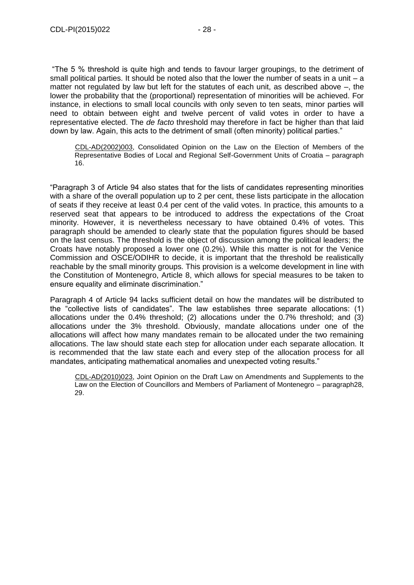"The 5 % threshold is quite high and tends to favour larger groupings, to the detriment of small political parties. It should be noted also that the lower the number of seats in a unit  $-$  a matter not regulated by law but left for the statutes of each unit, as described above –, the lower the probability that the (proportional) representation of minorities will be achieved. For instance, in elections to small local councils with only seven to ten seats, minor parties will need to obtain between eight and twelve percent of valid votes in order to have a representative elected. The *de facto* threshold may therefore in fact be higher than that laid down by law. Again, this acts to the detriment of small (often minority) political parties."

CDL-AD(2002)003, Consolidated Opinion on the Law on the Election of Members of the Representative Bodies of Local and Regional Self-Government Units of Croatia – paragraph 16.

"Paragraph 3 of Article 94 also states that for the lists of candidates representing minorities with a share of the overall population up to 2 per cent, these lists participate in the allocation of seats if they receive at least 0.4 per cent of the valid votes. In practice, this amounts to a reserved seat that appears to be introduced to address the expectations of the Croat minority. However, it is nevertheless necessary to have obtained 0.4% of votes. This paragraph should be amended to clearly state that the population figures should be based on the last census. The threshold is the object of discussion among the political leaders; the Croats have notably proposed a lower one (0.2%). While this matter is not for the Venice Commission and OSCE/ODIHR to decide, it is important that the threshold be realistically reachable by the small minority groups. This provision is a welcome development in line with the Constitution of Montenegro, Article 8, which allows for special measures to be taken to ensure equality and eliminate discrimination."

Paragraph 4 of Article 94 lacks sufficient detail on how the mandates will be distributed to the "collective lists of candidates". The law establishes three separate allocations: (1) allocations under the 0.4% threshold; (2) allocations under the 0.7% threshold; and (3) allocations under the 3% threshold. Obviously, mandate allocations under one of the allocations will affect how many mandates remain to be allocated under the two remaining allocations. The law should state each step for allocation under each separate allocation. It is recommended that the law state each and every step of the allocation process for all mandates, anticipating mathematical anomalies and unexpected voting results."

CDL-AD(2010)023, Joint Opinion on the Draft Law on Amendments and Supplements to the Law on the Election of Councillors and Members of Parliament of Montenegro – paragraph28, 29.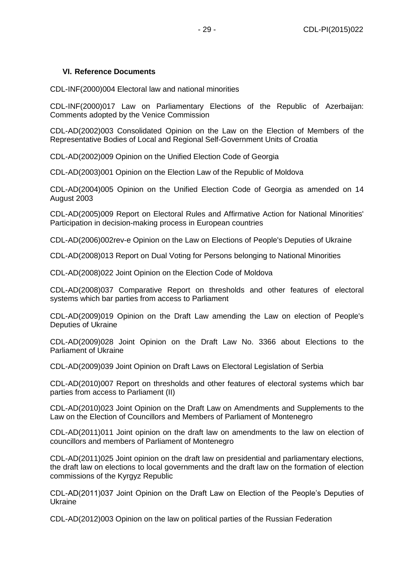## <span id="page-28-0"></span>**VI. Reference Documents**

CDL-INF(2000)004 Electoral law and national minorities

CDL-INF(2000)017 Law on Parliamentary Elections of the Republic of Azerbaijan: Comments adopted by the Venice Commission

CDL-AD(2002)003 Consolidated Opinion on the Law on the Election of Members of the Representative Bodies of Local and Regional Self-Government Units of Croatia

CDL-AD(2002)009 Opinion on the Unified Election Code of Georgia

CDL-AD(2003)001 Opinion on the Election Law of the Republic of Moldova

CDL-AD(2004)005 Opinion on the Unified Election Code of Georgia as amended on 14 August 2003

CDL-AD(2005)009 Report on Electoral Rules and Affirmative Action for National Minorities' Participation in decision-making process in European countries

CDL-AD(2006)002rev-e Opinion on the Law on Elections of People's Deputies of Ukraine

CDL-AD(2008)013 Report on Dual Voting for Persons belonging to National Minorities

CDL-AD(2008)022 Joint Opinion on the Election Code of Moldova

CDL-AD(2008)037 Comparative Report on thresholds and other features of electoral systems which bar parties from access to Parliament

CDL-AD(2009)019 Opinion on the Draft Law amending the Law on election of People's Deputies of Ukraine

CDL-AD(2009)028 Joint Opinion on the Draft Law No. 3366 about Elections to the Parliament of Ukraine

CDL-AD(2009)039 Joint Opinion on Draft Laws on Electoral Legislation of Serbia

CDL-AD(2010)007 Report on thresholds and other features of electoral systems which bar parties from access to Parliament (II)

CDL-AD(2010)023 Joint Opinion on the Draft Law on Amendments and Supplements to the Law on the Election of Councillors and Members of Parliament of Montenegro

CDL-AD(2011)011 Joint opinion on the draft law on amendments to the law on election of councillors and members of Parliament of Montenegro

CDL-AD(2011)025 Joint opinion on the draft law on presidential and parliamentary elections, the draft law on elections to local governments and the draft law on the formation of election commissions of the Kyrgyz Republic

CDL-AD(2011)037 Joint Opinion on the Draft Law on Election of the People's Deputies of Ukraine

CDL-AD(2012)003 Opinion on the law on political parties of the Russian Federation